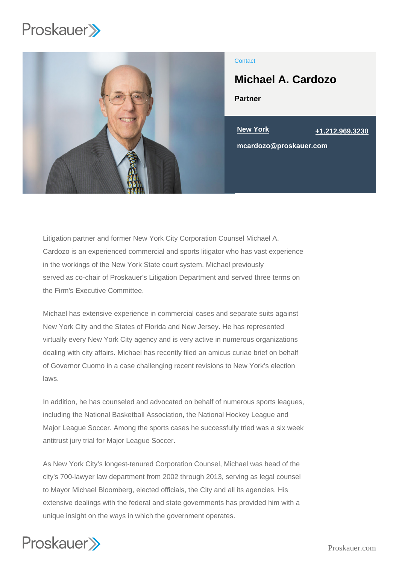

## **Contact**

Michael A. Cardozo

Partner

New York [+1.212.969.3230](tel:+1.212.969.3230)

mcardozo@proskauer.com

Litigation partner and former New York City Corporation Counsel Michael A. Cardozo is an experienced commercial and sports litigator who has vast experience in the workings of the New York State court system. Michael previously served as co-chair of Proskauer's Litigation Department and served three terms on the Firm's Executive Committee.

Michael has extensive experience in commercial cases and separate suits against New York City and the States of Florida and New Jersey. He has represented virtually every New York City agency and is very active in numerous organizations dealing with city affairs. Michael has recently filed an amicus curiae brief on behalf of Governor Cuomo in a case challenging recent revisions to New York's election laws.

In addition, he has counseled and advocated on behalf of numerous sports leagues, including the National Basketball Association, the National Hockey League and Major League Soccer. Among the sports cases he successfully tried was a six week antitrust jury trial for Major League Soccer.

As New York City's longest-tenured Corporation Counsel, Michael was head of the city's 700-lawyer law department from 2002 through 2013, serving as legal counsel to Mayor Michael Bloomberg, elected officials, the City and all its agencies. His extensive dealings with the federal and state governments has provided him with a unique insight on the ways in which the government operates.

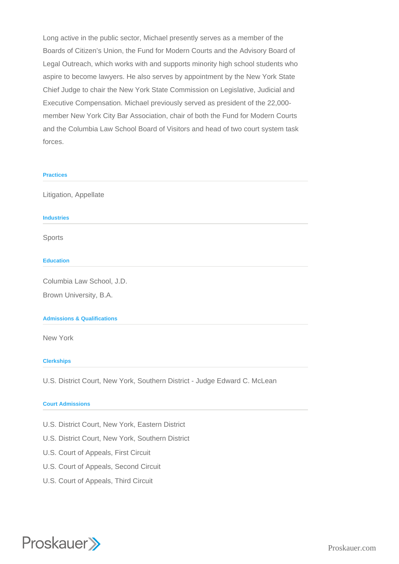Long active in the public sector, Michael presently serves as a member of the Boards of Citizen's Union, the Fund for Modern Courts and the Advisory Board of Legal Outreach, which works with and supports minority high school students who aspire to become lawyers. He also serves by appointment by the New York State Chief Judge to chair the New York State Commission on Legislative, Judicial and Executive Compensation. Michael previously served as president of the 22,000 member New York City Bar Association, chair of both the Fund for Modern Courts and the Columbia Law School Board of Visitors and head of two court system task forces.

# **Practices** Litigation, Appellate **Industries** Sports **Education** Columbia Law School, J.D. Brown University, B.A. **Admissions & Qualifications** New York **Clerkships** U.S. District Court, New York, Southern District - Judge Edward C. McLean

#### **Court Admissions**

- U.S. District Court, New York, Eastern District
- U.S. District Court, New York, Southern District
- U.S. Court of Appeals, First Circuit
- U.S. Court of Appeals, Second Circuit
- U.S. Court of Appeals, Third Circuit

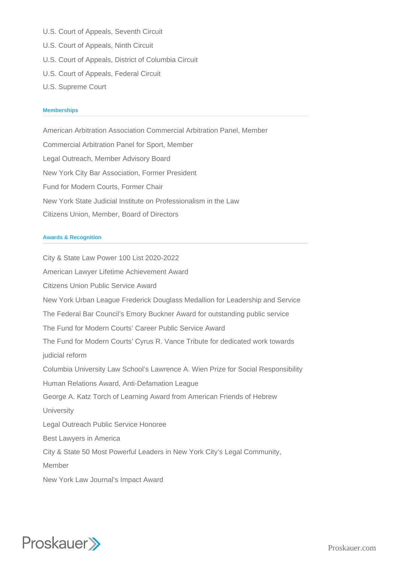- U.S. Court of Appeals, Seventh Circuit
- U.S. Court of Appeals, Ninth Circuit
- U.S. Court of Appeals, District of Columbia Circuit
- U.S. Court of Appeals, Federal Circuit
- U.S. Supreme Court

#### **Memberships**

American Arbitration Association Commercial Arbitration Panel, Member Commercial Arbitration Panel for Sport, Member Legal Outreach, Member Advisory Board New York City Bar Association, Former President Fund for Modern Courts, Former Chair New York State Judicial Institute on Professionalism in the Law Citizens Union, Member, Board of Directors

#### **Awards & Recognition**

City & State Law Power 100 List 2020-2022 American Lawyer Lifetime Achievement Award Citizens Union Public Service Award New York Urban League Frederick Douglass Medallion for Leadership and Service The Federal Bar Council's Emory Buckner Award for outstanding public service The Fund for Modern Courts' Career Public Service Award The Fund for Modern Courts' Cyrus R. Vance Tribute for dedicated work towards judicial reform Columbia University Law School's Lawrence A. Wien Prize for Social Responsibility Human Relations Award, Anti-Defamation League George A. Katz Torch of Learning Award from American Friends of Hebrew **University** Legal Outreach Public Service Honoree Best Lawyers in America City & State 50 Most Powerful Leaders in New York City's Legal Community, Member New York Law Journal's Impact Award